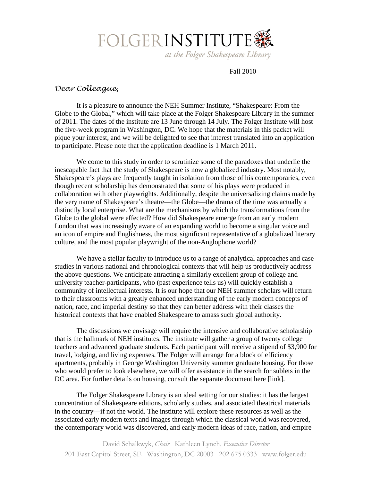

Fall 2010

# *Dear Colleague,*

It is a pleasure to announce the NEH Summer Institute, "Shakespeare: From the Globe to the Global," which will take place at the Folger Shakespeare Library in the summer of 2011. The dates of the institute are 13 June through 14 July. The Folger Institute will host the five-week program in Washington, DC. We hope that the materials in this packet will pique your interest, and we will be delighted to see that interest translated into an application to participate. Please note that the application deadline is 1 March 2011.

We come to this study in order to scrutinize some of the paradoxes that underlie the inescapable fact that the study of Shakespeare is now a globalized industry. Most notably, Shakespeare's plays are frequently taught in isolation from those of his contemporaries, even though recent scholarship has demonstrated that some of his plays were produced in collaboration with other playwrights. Additionally, despite the universalizing claims made by the very name of Shakespeare's theatre—the Globe—the drama of the time was actually a distinctly local enterprise. What are the mechanisms by which the transformations from the Globe to the global were effected? How did Shakespeare emerge from an early modern London that was increasingly aware of an expanding world to become a singular voice and an icon of empire and Englishness, the most significant representative of a globalized literary culture, and the most popular playwright of the non-Anglophone world?

We have a stellar faculty to introduce us to a range of analytical approaches and case studies in various national and chronological contexts that will help us productively address the above questions. We anticipate attracting a similarly excellent group of college and university teacher-participants, who (past experience tells us) will quickly establish a community of intellectual interests. It is our hope that our NEH summer scholars will return to their classrooms with a greatly enhanced understanding of the early modern concepts of nation, race, and imperial destiny so that they can better address with their classes the historical contexts that have enabled Shakespeare to amass such global authority.

The discussions we envisage will require the intensive and collaborative scholarship that is the hallmark of NEH institutes. The institute will gather a group of twenty college teachers and advanced graduate students. Each participant will receive a stipend of \$3,900 for travel, lodging, and living expenses. The Folger will arrange for a block of efficiency apartments, probably in George Washington University summer graduate housing. For those who would prefer to look elsewhere, we will offer assistance in the search for sublets in the DC area. For further details on housing, consult the separate document here [link].

The Folger Shakespeare Library is an ideal setting for our studies: it has the largest concentration of Shakespeare editions, scholarly studies, and associated theatrical materials in the country—if not the world. The institute will explore these resources as well as the associated early modern texts and images through which the classical world was recovered, the contemporary world was discovered, and early modern ideas of race, nation, and empire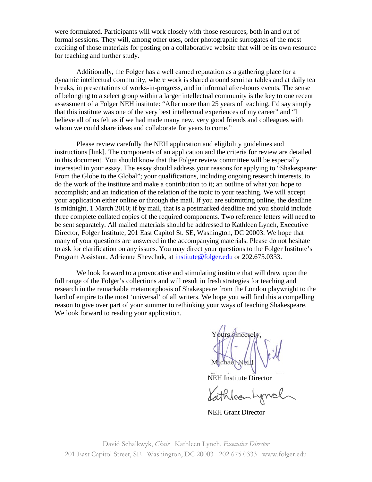were formulated. Participants will work closely with those resources, both in and out of formal sessions. They will, among other uses, order photographic surrogates of the most exciting of those materials for posting on a collaborative website that will be its own resource for teaching and further study.

Additionally, the Folger has a well earned reputation as a gathering place for a dynamic intellectual community, where work is shared around seminar tables and at daily tea breaks, in presentations of works-in-progress, and in informal after-hours events. The sense of belonging to a select group within a larger intellectual community is the key to one recent assessment of a Folger NEH institute: "After more than 25 years of teaching, I'd say simply that this institute was one of the very best intellectual experiences of my career" and "I believe all of us felt as if we had made many new, very good friends and colleagues with whom we could share ideas and collaborate for years to come."

Please review carefully the NEH application and eligibility guidelines and instructions [link]. The components of an application and the criteria for review are detailed in this document. You should know that the Folger review committee will be especially interested in your essay. The essay should address your reasons for applying to "Shakespeare: From the Globe to the Global"; your qualifications, including ongoing research interests, to do the work of the institute and make a contribution to it; an outline of what you hope to accomplish; and an indication of the relation of the topic to your teaching. We will accept your application either online or through the mail. If you are submitting online, the deadline is midnight, 1 March 2010; if by mail, that is a postmarked deadline and you should include three complete collated copies of the required components. Two reference letters will need to be sent separately. All mailed materials should be addressed to Kathleen Lynch, Executive Director, Folger Institute, 201 East Capitol St. SE, Washington, DC 20003. We hope that many of your questions are answered in the accompanying materials. Please do not hesitate to ask for clarification on any issues. You may direct your questions to the Folger Institute's Program Assistant, Adrienne Shevchuk, at [institute@folger.edu](mailto:institute@folger.edu) or 202.675.0333.

We look forward to a provocative and stimulating institute that will draw upon the full range of the Folger's collections and will result in fresh strategies for teaching and research in the remarkable metamorphosis of Shakespeare from the London playwright to the bard of empire to the most 'universal' of all writers. We hope you will find this a compelling reason to give over part of your summer to rethinking your ways of teaching Shakespeare. We look forward to reading your application.

sincerely chad Neill

NEH Institute Director

Kathleen

NEH Grant Director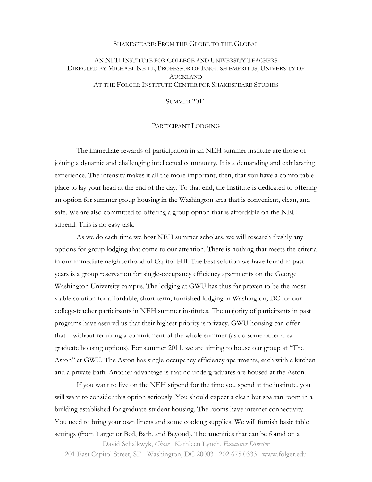### SHAKESPEARE: FROM THE GLOBE TO THE GLOBAL

## AN NEH INSTITUTE FOR COLLEGE AND UNIVERSITY TEACHERS DIRECTED BY MICHAEL NEILL, PROFESSOR OF ENGLISH EMERITUS, UNIVERSITY OF AUCKLAND AT THE FOLGER INSTITUTE CENTER FOR SHAKESPEARE STUDIES

SUMMER 2011

#### PARTICIPANT LODGING

The immediate rewards of participation in an NEH summer institute are those of joining a dynamic and challenging intellectual community. It is a demanding and exhilarating experience. The intensity makes it all the more important, then, that you have a comfortable place to lay your head at the end of the day. To that end, the Institute is dedicated to offering an option for summer group housing in the Washington area that is convenient, clean, and safe. We are also committed to offering a group option that is affordable on the NEH stipend. This is no easy task.

As we do each time we host NEH summer scholars, we will research freshly any options for group lodging that come to our attention. There is nothing that meets the criteria in our immediate neighborhood of Capitol Hill. The best solution we have found in past years is a group reservation for single-occupancy efficiency apartments on the George Washington University campus. The lodging at GWU has thus far proven to be the most viable solution for affordable, short-term, furnished lodging in Washington, DC for our college-teacher participants in NEH summer institutes. The majority of participants in past programs have assured us that their highest priority is privacy. GWU housing can offer that—without requiring a commitment of the whole summer (as do some other area graduate housing options). For summer 2011, we are aiming to house our group at "The Aston" at GWU. The Aston has single-occupancy efficiency apartments, each with a kitchen and a private bath. Another advantage is that no undergraduates are housed at the Aston.

If you want to live on the NEH stipend for the time you spend at the institute, you will want to consider this option seriously. You should expect a clean but spartan room in a building established for graduate-student housing. The rooms have internet connectivity. You need to bring your own linens and some cooking supplies. We will furnish basic table settings (from Target or Bed, Bath, and Beyond). The amenities that can be found on a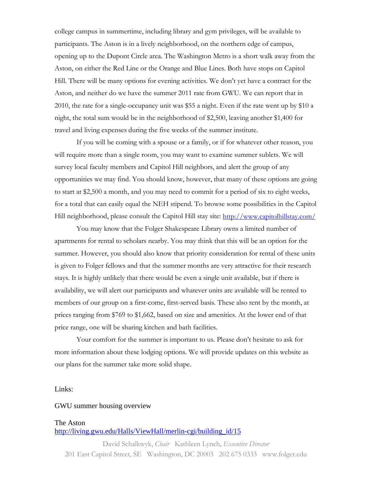college campus in summertime, including library and gym privileges, will be available to participants. The Aston is in a lively neighborhood, on the northern edge of campus, opening up to the Dupont Circle area. The Washington Metro is a short walk away from the Aston, on either the Red Line or the Orange and Blue Lines. Both have stops on Capitol Hill. There will be many options for evening activities. We don't yet have a contract for the Aston, and neither do we have the summer 2011 rate from GWU. We can report that in 2010, the rate for a single-occupancy unit was \$55 a night. Even if the rate went up by \$10 a night, the total sum would be in the neighborhood of \$2,500, leaving another \$1,400 for travel and living expenses during the five weeks of the summer institute.

If you will be coming with a spouse or a family, or if for whatever other reason, you will require more than a single room, you may want to examine summer sublets. We will survey local faculty members and Capitol Hill neighbors, and alert the group of any opportunities we may find. You should know, however, that many of these options are going to start at \$2,500 a month, and you may need to commit for a period of six to eight weeks, for a total that can easily equal the NEH stipend. To browse some possibilities in the Capitol Hill neighborhood, please consult the Capitol Hill stay site:<http://www.capitolhillstay.com/>

You may know that the Folger Shakespeare Library owns a limited number of apartments for rental to scholars nearby. You may think that this will be an option for the summer. However, you should also know that priority consideration for rental of these units is given to Folger fellows and that the summer months are very attractive for their research stays. It is highly unlikely that there would be even a single unit available, but if there is availability, we will alert our participants and whatever units are available will be rented to members of our group on a first-come, first-served basis. These also rent by the month, at prices ranging from \$769 to \$1,662, based on size and amenities. At the lower end of that price range, one will be sharing kitchen and bath facilities.

Your comfort for the summer is important to us. Please don't hesitate to ask for more information about these lodging options. We will provide updates on this website as our plans for the summer take more solid shape.

#### Links:

### GWU summer housing overview

#### The Aston

## [http://living.gwu.edu/Halls/ViewHall/merlin-cgi/building\\_id/15](http://living.gwu.edu/Halls/ViewHall/merlin-cgi/building_id/15)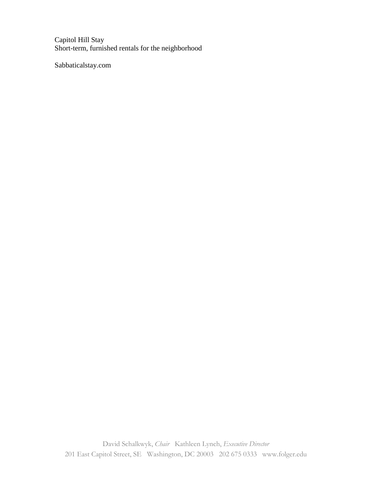Capitol Hill Stay Short-term, furnished rentals for the neighborhood

Sabbaticalstay.com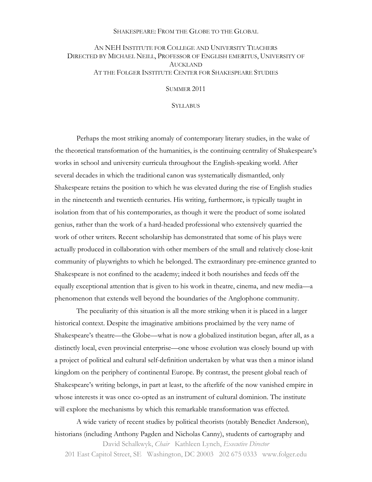### SHAKESPEARE: FROM THE GLOBE TO THE GLOBAL

## AN NEH INSTITUTE FOR COLLEGE AND UNIVERSITY TEACHERS DIRECTED BY MICHAEL NEILL, PROFESSOR OF ENGLISH EMERITUS, UNIVERSITY OF AUCKLAND AT THE FOLGER INSTITUTE CENTER FOR SHAKESPEARE STUDIES

SUMMER 2011

**SYLLABUS** 

Perhaps the most striking anomaly of contemporary literary studies, in the wake of the theoretical transformation of the humanities, is the continuing centrality of Shakespeare's works in school and university curricula throughout the English-speaking world. After several decades in which the traditional canon was systematically dismantled, only Shakespeare retains the position to which he was elevated during the rise of English studies in the nineteenth and twentieth centuries. His writing, furthermore, is typically taught in isolation from that of his contemporaries, as though it were the product of some isolated genius, rather than the work of a hard-headed professional who extensively quarried the work of other writers. Recent scholarship has demonstrated that some of his plays were actually produced in collaboration with other members of the small and relatively close-knit community of playwrights to which he belonged. The extraordinary pre-eminence granted to Shakespeare is not confined to the academy; indeed it both nourishes and feeds off the equally exceptional attention that is given to his work in theatre, cinema, and new media—a phenomenon that extends well beyond the boundaries of the Anglophone community.

The peculiarity of this situation is all the more striking when it is placed in a larger historical context. Despite the imaginative ambitions proclaimed by the very name of Shakespeare's theatre—the Globe—what is now a globalized institution began, after all, as a distinctly local, even provincial enterprise—one whose evolution was closely bound up with a project of political and cultural self-definition undertaken by what was then a minor island kingdom on the periphery of continental Europe. By contrast, the present global reach of Shakespeare's writing belongs, in part at least, to the afterlife of the now vanished empire in whose interests it was once co-opted as an instrument of cultural dominion. The institute will explore the mechanisms by which this remarkable transformation was effected.

A wide variety of recent studies by political theorists (notably Benedict Anderson), historians (including Anthony Pagden and Nicholas Canny), students of cartography and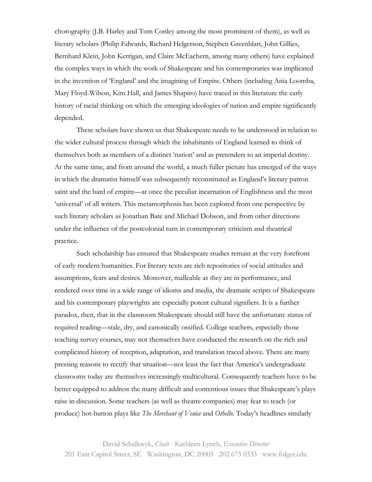chorography (J.B. Harley and Tom Conley among the most prominent of them), as well as literary scholars (Philip Edwards, Richard Helgerson, Stephen Greenblatt, John Gillies, Bernhard Klein, John Kerrigan, and Claire McEachern, among many others) have explained the complex ways in which the work of Shakespeare and his contemporaries was implicated in the invention of 'England' and the imagining of Empire. Others (including Ania Loomba, Mary Floyd-Wilson, Kim Hall, and James Shapiro) have traced in this literature the early history of racial thinking on which the emerging ideologies of nation and empire significantly depended.

These scholars have shown us that Shakespeare needs to be understood in relation to the wider cultural process through which the inhabitants of England learned to think of themselves both as members of a distinct 'nation' and as pretenders to an imperial destiny. At the same time, and from around the world, a much fuller picture has emerged of the ways in which the dramatist himself was subsequently reconstituted as England's literary patron saint and the bard of empire—at once the peculiar incarnation of Englishness and the most 'universal' of all writers. This metamorphosis has been explored from one perspective by such literary scholars as Jonathan Bate and Michael Dobson, and from other directions under the influence of the postcolonial turn in contemporary criticism and theatrical practice.

Such scholarship has ensured that Shakespeare studies remain at the very forefront of early modern humanities. For literary texts are rich repositories of social attitudes and assumptions, fears and desires. Moreover, malleable as they are in performance, and rendered over time in a wide range of idioms and media, the dramatic scripts of Shakespeare and his contemporary playwrights are especially potent cultural signifiers. It is a further paradox, then, that in the classroom Shakespeare should still have the unfortunate status of required reading—stale, dry, and canonically ossified. College teachers, especially those teaching survey courses, may not themselves have conducted the research on the rich and complicated history of reception, adaptation, and translation traced above. There are many pressing reasons to rectify that situation—not least the fact that America's undergraduate classrooms today are themselves increasingly multicultural. Consequently teachers have to be better equipped to address the many difficult and contentious issues that Shakespeare's plays raise in discussion. Some teachers (as well as theatre companies) may fear to teach (or produce) hot-button plays like *The Merchant of Venice* and *Othello*. Today's headlines similarly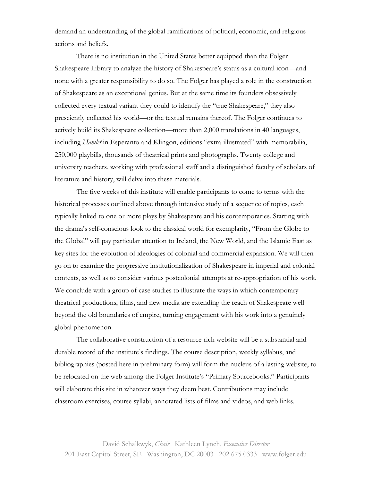demand an understanding of the global ramifications of political, economic, and religious actions and beliefs.

There is no institution in the United States better equipped than the Folger Shakespeare Library to analyze the history of Shakespeare's status as a cultural icon—and none with a greater responsibility to do so. The Folger has played a role in the construction of Shakespeare as an exceptional genius. But at the same time its founders obsessively collected every textual variant they could to identify the "true Shakespeare," they also presciently collected his world—or the textual remains thereof. The Folger continues to actively build its Shakespeare collection—more than 2,000 translations in 40 languages, including *Hamlet* in Esperanto and Klingon, editions "extra-illustrated" with memorabilia, 250,000 playbills, thousands of theatrical prints and photographs. Twenty college and university teachers, working with professional staff and a distinguished faculty of scholars of literature and history, will delve into these materials.

The five weeks of this institute will enable participants to come to terms with the historical processes outlined above through intensive study of a sequence of topics, each typically linked to one or more plays by Shakespeare and his contemporaries. Starting with the drama's self-conscious look to the classical world for exemplarity, "From the Globe to the Global" will pay particular attention to Ireland, the New World, and the Islamic East as key sites for the evolution of ideologies of colonial and commercial expansion. We will then go on to examine the progressive institutionalization of Shakespeare in imperial and colonial contexts, as well as to consider various postcolonial attempts at re-appropriation of his work. We conclude with a group of case studies to illustrate the ways in which contemporary theatrical productions, films, and new media are extending the reach of Shakespeare well beyond the old boundaries of empire, turning engagement with his work into a genuinely global phenomenon.

The collaborative construction of a resource-rich website will be a substantial and durable record of the institute's findings. The course description, weekly syllabus, and bibliographies (posted here in preliminary form) will form the nucleus of a lasting website, to be relocated on the web among the Folger Institute's "Primary Sourcebooks." Participants will elaborate this site in whatever ways they deem best. Contributions may include classroom exercises, course syllabi, annotated lists of films and videos, and web links.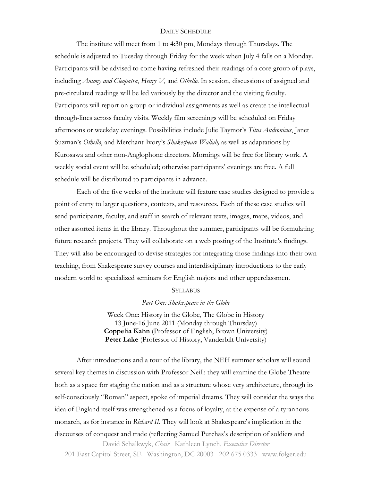### DAILY SCHEDULE

The institute will meet from 1 to 4:30 pm, Mondays through Thursdays. The schedule is adjusted to Tuesday through Friday for the week when July 4 falls on a Monday. Participants will be advised to come having refreshed their readings of a core group of plays, including *Antony and Cleopatra*, *Henry V,* and *Othello*. In session, discussions of assigned and pre-circulated readings will be led variously by the director and the visiting faculty. Participants will report on group or individual assignments as well as create the intellectual through-lines across faculty visits. Weekly film screenings will be scheduled on Friday afternoons or weekday evenings. Possibilities include Julie Taymor's *Titus Andronicus*, Janet Suzman's *Othello*, and Merchant-Ivory's *Shakespeare-Wallah,* as well as adaptations by Kurosawa and other non-Anglophone directors. Mornings will be free for library work. A weekly social event will be scheduled; otherwise participants' evenings are free. A full schedule will be distributed to participants in advance.

Each of the five weeks of the institute will feature case studies designed to provide a point of entry to larger questions, contexts, and resources. Each of these case studies will send participants, faculty, and staff in search of relevant texts, images, maps, videos, and other assorted items in the library. Throughout the summer, participants will be formulating future research projects. They will collaborate on a web posting of the Institute's findings. They will also be encouraged to devise strategies for integrating those findings into their own teaching, from Shakespeare survey courses and interdisciplinary introductions to the early modern world to specialized seminars for English majors and other upperclassmen.

#### **SYLLABUS**

*Part One: Shakespeare in the Globe*

Week One: History in the Globe, The Globe in History 13 June-16 June 2011 (Monday through Thursday) **Coppelia Kahn** (Professor of English, Brown University) Peter Lake (Professor of History, Vanderbilt University)

David Schalkwyk, *Chair* Kathleen Lynch, *Executive Director* After introductions and a tour of the library, the NEH summer scholars will sound several key themes in discussion with Professor Neill: they will examine the Globe Theatre both as a space for staging the nation and as a structure whose very architecture, through its self-consciously "Roman" aspect, spoke of imperial dreams. They will consider the ways the idea of England itself was strengthened as a focus of loyalty, at the expense of a tyrannous monarch, as for instance in *Richard II*. They will look at Shakespeare's implication in the discourses of conquest and trade (reflecting Samuel Purchas's description of soldiers and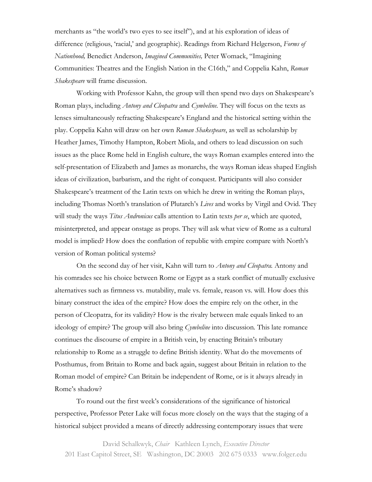merchants as "the world's two eyes to see itself"), and at his exploration of ideas of difference (religious, 'racial,' and geographic). Readings from Richard Helgerson, *Forms of Nationhood,* Benedict Anderson, *Imagined Communities,* Peter Womack, "Imagining Communities: Theatres and the English Nation in the C16th," and Coppelia Kahn, *Roman Shakespeare* will frame discussion.

Working with Professor Kahn, the group will then spend two days on Shakespeare's Roman plays, including *Antony and Cleopatra* and *Cymbeline.* They will focus on the texts as lenses simultaneously refracting Shakespeare's England and the historical setting within the play. Coppelia Kahn will draw on her own *Roman Shakespeare*, as well as scholarship by Heather James, Timothy Hampton, Robert Miola, and others to lead discussion on such issues as the place Rome held in English culture, the ways Roman examples entered into the self-presentation of Elizabeth and James as monarchs, the ways Roman ideas shaped English ideas of civilization, barbarism, and the right of conquest. Participants will also consider Shakespeare's treatment of the Latin texts on which he drew in writing the Roman plays, including Thomas North's translation of Plutarch's *Lives* and works by Virgil and Ovid. They will study the ways *Titus Andronicus* calls attention to Latin texts *per se*, which are quoted, misinterpreted, and appear onstage as props. They will ask what view of Rome as a cultural model is implied? How does the conflation of republic with empire compare with North's version of Roman political systems?

On the second day of her visit, Kahn will turn to *Antony and Cleopatra.* Antony and his comrades see his choice between Rome or Egypt as a stark conflict of mutually exclusive alternatives such as firmness vs. mutability, male vs. female, reason vs. will. How does this binary construct the idea of the empire? How does the empire rely on the other, in the person of Cleopatra, for its validity? How is the rivalry between male equals linked to an ideology of empire? The group will also bring *Cymbeline* into discussion*.* This late romance continues the discourse of empire in a British vein, by enacting Britain's tributary relationship to Rome as a struggle to define British identity. What do the movements of Posthumus, from Britain to Rome and back again, suggest about Britain in relation to the Roman model of empire? Can Britain be independent of Rome, or is it always already in Rome's shadow?

To round out the first week's considerations of the significance of historical perspective, Professor Peter Lake will focus more closely on the ways that the staging of a historical subject provided a means of directly addressing contemporary issues that were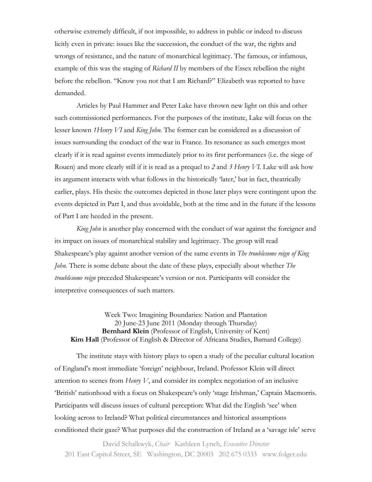otherwise extremely difficult, if not impossible, to address in public or indeed to discuss licitly even in private: issues like the succession, the conduct of the war, the rights and wrongs of resistance, and the nature of monarchical legitimacy. The famous, or infamous, example of this was the staging of *Richard II* by members of the Essex rebellion the night before the rebellion. "Know you not that I am Richard?" Elizabeth was reported to have demanded.

Articles by Paul Hammer and Peter Lake have thrown new light on this and other such commissioned performances. For the purposes of the institute, Lake will focus on the lesser known *1Henry VI* and *King John*. The former can be considered as a discussion of issues surrounding the conduct of the war in France. Its resonance as such emerges most clearly if it is read against events immediately prior to its first performances (i.e. the siege of Rouen) and more clearly still if it is read as a prequel to *2* and *3 Henry VI.* Lake will ask how its argument interacts with what follows in the historically 'later,' but in fact, theatrically earlier, plays. His thesis: the outcomes depicted in those later plays were contingent upon the events depicted in Part I, and thus avoidable, both at the time and in the future if the lessons of Part I are heeded in the present.

*King John* is another play concerned with the conduct of war against the foreigner and its impact on issues of monarchical stability and legitimacy. The group will read Shakespeare's play against another version of the same events in *The troublesome reign of King John.* There is some debate about the date of these plays, especially about whether *The troublesome reign* preceded Shakespeare's version or not. Participants will consider the interpretive consequences of such matters.

Week Two: Imagining Boundaries: Nation and Plantation 20 June-23 June 2011 (Monday through Thursday) **Bernhard Klein** (Professor of English, University of Kent) **Kim Hall** (Professor of English & Director of Africana Studies, Barnard College)

The institute stays with history plays to open a study of the peculiar cultural location of England's most immediate 'foreign' neighbour, Ireland. Professor Klein will direct attention to scenes from *Henry V*, and consider its complex negotiation of an inclusive 'British' nationhood with a focus on Shakespeare's only 'stage Irishman,' Captain Macmorris. Participants will discuss issues of cultural perception: What did the English 'see' when looking across to Ireland? What political circumstances and historical assumptions conditioned their gaze? What purposes did the construction of Ireland as a 'savage isle' serve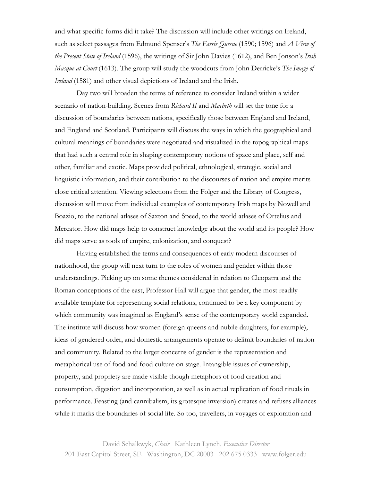and what specific forms did it take? The discussion will include other writings on Ireland, such as select passages from Edmund Spenser's *The Faerie Queene* (1590; 1596) and *A View of the Present State of Ireland* (1596), the writings of Sir John Davies (1612), and Ben Jonson's *Irish Masque at Court* (1613). The group will study the woodcuts from John Derricke's *The Image of Ireland* (1581) and other visual depictions of Ireland and the Irish.

Day two will broaden the terms of reference to consider Ireland within a wider scenario of nation-building. Scenes from *Richard II* and *Macbeth* will set the tone for a discussion of boundaries between nations, specifically those between England and Ireland, and England and Scotland. Participants will discuss the ways in which the geographical and cultural meanings of boundaries were negotiated and visualized in the topographical maps that had such a central role in shaping contemporary notions of space and place, self and other, familiar and exotic. Maps provided political, ethnological, strategic, social and linguistic information, and their contribution to the discourses of nation and empire merits close critical attention. Viewing selections from the Folger and the Library of Congress, discussion will move from individual examples of contemporary Irish maps by Nowell and Boazio, to the national atlases of Saxton and Speed, to the world atlases of Ortelius and Mercator. How did maps help to construct knowledge about the world and its people? How did maps serve as tools of empire, colonization, and conquest?

Having established the terms and consequences of early modern discourses of nationhood, the group will next turn to the roles of women and gender within those understandings. Picking up on some themes considered in relation to Cleopatra and the Roman conceptions of the east, Professor Hall will argue that gender, the most readily available template for representing social relations, continued to be a key component by which community was imagined as England's sense of the contemporary world expanded. The institute will discuss how women (foreign queens and nubile daughters, for example), ideas of gendered order, and domestic arrangements operate to delimit boundaries of nation and community. Related to the larger concerns of gender is the representation and metaphorical use of food and food culture on stage. Intangible issues of ownership, property, and propriety are made visible though metaphors of food creation and consumption, digestion and incorporation, as well as in actual replication of food rituals in performance. Feasting (and cannibalism, its grotesque inversion) creates and refuses alliances while it marks the boundaries of social life. So too, travellers, in voyages of exploration and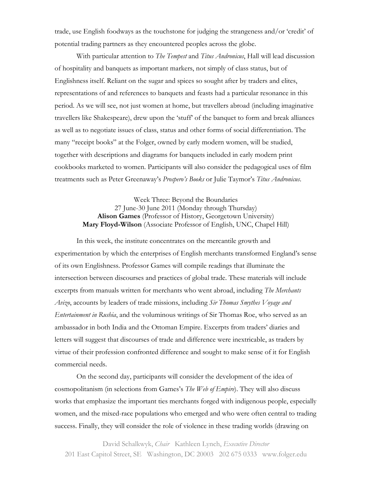trade, use English foodways as the touchstone for judging the strangeness and/or 'credit' of potential trading partners as they encountered peoples across the globe.

With particular attention to *The Tempest* and *Titus Andronicus*, Hall will lead discussion of hospitality and banquets as important markers, not simply of class status, but of Englishness itself. Reliant on the sugar and spices so sought after by traders and elites, representations of and references to banquets and feasts had a particular resonance in this period. As we will see, not just women at home, but travellers abroad (including imaginative travellers like Shakespeare), drew upon the 'stuff' of the banquet to form and break alliances as well as to negotiate issues of class, status and other forms of social differentiation. The many "receipt books" at the Folger, owned by early modern women, will be studied, together with descriptions and diagrams for banquets included in early modern print cookbooks marketed to women. Participants will also consider the pedagogical uses of film treatments such as Peter Greenaway's *Prospero's Books* or Julie Taymor's *Titus Andronicus*.

## Week Three: Beyond the Boundaries 27 June-30 June 2011 (Monday through Thursday) **Alison Games** (Professor of History, Georgetown University) **Mary Floyd-Wilson** (Associate Professor of English, UNC, Chapel Hill)

In this week, the institute concentrates on the mercantile growth and experimentation by which the enterprises of English merchants transformed England's sense of its own Englishness. Professor Games will compile readings that illuminate the intersection between discourses and practices of global trade. These materials will include excerpts from manuals written for merchants who went abroad, including *The Merchants Avizo*, accounts by leaders of trade missions, including *Sir Thomas Smythes Voyage and Entertainment in Rushia*, and the voluminous writings of Sir Thomas Roe, who served as an ambassador in both India and the Ottoman Empire. Excerpts from traders' diaries and letters will suggest that discourses of trade and difference were inextricable, as traders by virtue of their profession confronted difference and sought to make sense of it for English commercial needs.

On the second day, participants will consider the development of the idea of cosmopolitanism (in selections from Games's *The Web of Empire*). They will also discuss works that emphasize the important ties merchants forged with indigenous people, especially women, and the mixed-race populations who emerged and who were often central to trading success. Finally, they will consider the role of violence in these trading worlds (drawing on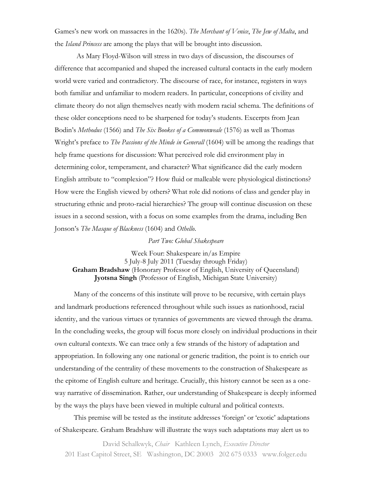Games's new work on massacres in the 1620s). *The Merchant of Venice*, *The Jew of Malta*, and the *Island Princess* are among the plays that will be brought into discussion.

As Mary Floyd-Wilson will stress in two days of discussion, the discourses of difference that accompanied and shaped the increased cultural contacts in the early modern world were varied and contradictory. The discourse of race, for instance, registers in ways both familiar and unfamiliar to modern readers. In particular, conceptions of civility and climate theory do not align themselves neatly with modern racial schema. The definitions of these older conceptions need to be sharpened for today's students. Excerpts from Jean Bodin's *Methodus* (1566) and *The Six Bookes of a Commonweale* (1576) as well as Thomas Wright's preface to *The Passions of the Minde in Generall* (1604) will be among the readings that help frame questions for discussion: What perceived role did environment play in determining color, temperament, and character? What significance did the early modern English attribute to "complexion"? How fluid or malleable were physiological distinctions? How were the English viewed by others? What role did notions of class and gender play in structuring ethnic and proto-racial hierarchies? The group will continue discussion on these issues in a second session, with a focus on some examples from the drama, including Ben Jonson's *The Masque of Blackness* (1604) and *Othello*.

#### *Part Two: Global Shakespeare*

Week Four: Shakespeare in/as Empire 5 July-8 July 2011 (Tuesday through Friday) **Graham Bradshaw** (Honorary Professor of English, University of Queensland) **Jyotsna Singh** (Professor of English, Michigan State University)

Many of the concerns of this institute will prove to be recursive, with certain plays and landmark productions referenced throughout while such issues as nationhood, racial identity, and the various virtues or tyrannies of governments are viewed through the drama. In the concluding weeks, the group will focus more closely on individual productions in their own cultural contexts. We can trace only a few strands of the history of adaptation and appropriation. In following any one national or generic tradition, the point is to enrich our understanding of the centrality of these movements to the construction of Shakespeare as the epitome of English culture and heritage. Crucially, this history cannot be seen as a oneway narrative of dissemination. Rather, our understanding of Shakespeare is deeply informed by the ways the plays have been viewed in multiple cultural and political contexts.

This premise will be tested as the institute addresses 'foreign' or 'exotic' adaptations of Shakespeare. Graham Bradshaw will illustrate the ways such adaptations may alert us to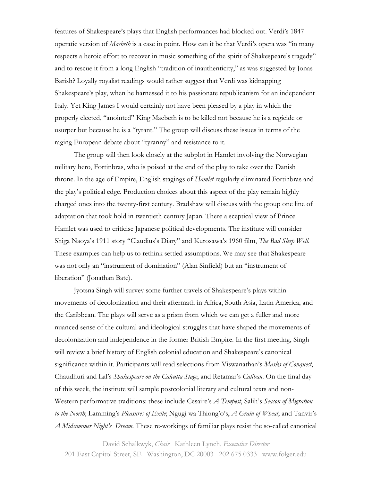features of Shakespeare's plays that English performances had blocked out. Verdi's 1847 operatic version of *Macbeth* is a case in point. How can it be that Verdi's opera was "in many respects a heroic effort to recover in music something of the spirit of Shakespeare's tragedy" and to rescue it from a long English "tradition of inauthenticity," as was suggested by Jonas Barish? Loyally royalist readings would rather suggest that Verdi was kidnapping Shakespeare's play, when he harnessed it to his passionate republicanism for an independent Italy. Yet King James I would certainly not have been pleased by a play in which the properly elected, "anointed" King Macbeth is to be killed not because he is a regicide or usurper but because he is a "tyrant." The group will discuss these issues in terms of the raging European debate about "tyranny" and resistance to it.

The group will then look closely at the subplot in Hamlet involving the Norwegian military hero, Fortinbras, who is poised at the end of the play to take over the Danish throne. In the age of Empire, English stagings of *Hamlet* regularly eliminated Fortinbras and the play's political edge. Production choices about this aspect of the play remain highly charged ones into the twenty-first century. Bradshaw will discuss with the group one line of adaptation that took hold in twentieth century Japan. There a sceptical view of Prince Hamlet was used to criticise Japanese political developments. The institute will consider Shiga Naoya's 1911 story "Claudius's Diary" and Kurosawa's 1960 film, *The Bad Sleep Well*. These examples can help us to rethink settled assumptions. We may see that Shakespeare was not only an "instrument of domination" (Alan Sinfield) but an "instrument of liberation" (Jonathan Bate).

Jyotsna Singh will survey some further travels of Shakespeare's plays within movements of decolonization and their aftermath in Africa, South Asia, Latin America, and the Caribbean. The plays will serve as a prism from which we can get a fuller and more nuanced sense of the cultural and ideological struggles that have shaped the movements of decolonization and independence in the former British Empire. In the first meeting, Singh will review a brief history of English colonial education and Shakespeare's canonical significance within it. Participants will read selections from Viswanathan's *Masks of Conquest*, Chaudhuri and Lal's *Shakespeare on the Calcutta Stage*, and Retamar's *Caliban*. On the final day of this week, the institute will sample postcolonial literary and cultural texts and non-Western performative traditions: these include Cesaire's *A Tempest*, Salih's *Season of Migration to the North*; Lamming's *Pleasures of Exile*; Ngugi wa Thiong'o's, *A Grain of Wheat*; and Tanvir's *A Midsummer Night's Dream*. These re-workings of familiar plays resist the so-called canonical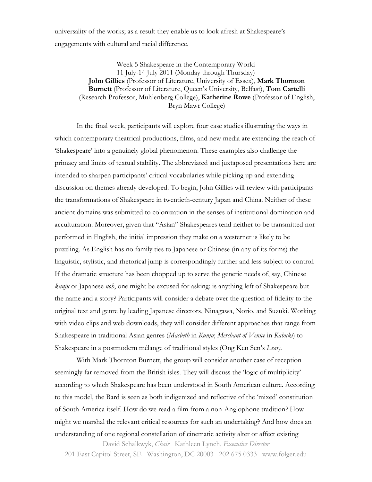universality of the works; as a result they enable us to look afresh at Shakespeare's engagements with cultural and racial difference.

Week 5 Shakespeare in the Contemporary World 11 July-14 July 2011 (Monday through Thursday) **John Gillies** (Professor of Literature, University of Essex), **Mark Thornton Burnett** (Professor of Literature, Queen's University, Belfast), **Tom Cartelli**  (Research Professor, Muhlenberg College), **Katherine Rowe** (Professor of English, Bryn Mawr College)

In the final week, participants will explore four case studies illustrating the ways in which contemporary theatrical productions, films, and new media are extending the reach of 'Shakespeare' into a genuinely global phenomenon. These examples also challenge the primacy and limits of textual stability. The abbreviated and juxtaposed presentations here are intended to sharpen participants' critical vocabularies while picking up and extending discussion on themes already developed. To begin, John Gillies will review with participants the transformations of Shakespeare in twentieth-century Japan and China. Neither of these ancient domains was submitted to colonization in the senses of institutional domination and acculturation. Moreover, given that "Asian" Shakespeares tend neither to be transmitted nor performed in English, the initial impression they make on a westerner is likely to be puzzling. As English has no family ties to Japanese or Chinese (in any of its forms) the linguistic, stylistic, and rhetorical jump is correspondingly further and less subject to control. If the dramatic structure has been chopped up to serve the generic needs of, say, Chinese *kunju* or Japanese *noh*, one might be excused for asking: is anything left of Shakespeare but the name and a story? Participants will consider a debate over the question of fidelity to the original text and genre by leading Japanese directors, Ninagawa, Norio, and Suzuki. Working with video clips and web downloads, they will consider different approaches that range from Shakespeare in traditional Asian genres (*Macbeth* in *Kunju*; *Merchant of Venice* in *Kabuki*) to Shakespeare in a postmodern mélange of traditional styles (Ong Ken Sen's *Lear).*

With Mark Thornton Burnett, the group will consider another case of reception seemingly far removed from the British isles. They will discuss the 'logic of multiplicity' according to which Shakespeare has been understood in South American culture. According to this model, the Bard is seen as both indigenized and reflective of the 'mixed' constitution of South America itself. How do we read a film from a non-Anglophone tradition? How might we marshal the relevant critical resources for such an undertaking? And how does an understanding of one regional constellation of cinematic activity alter or affect existing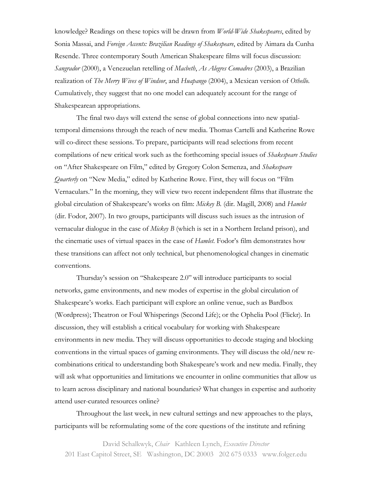knowledge? Readings on these topics will be drawn from *World-Wide Shakespeares*, edited by Sonia Massai, and *Foreign Accents: Brazilian Readings of Shakespeare*, edited by Aimara da Cunha Resende. Three contemporary South American Shakespeare films will focus discussion: *Sangrador* (2000), a Venezuelan retelling of *Macbeth*, *As Alegres Comadres* (2003), a Brazilian realization of *The Merry Wives of Windsor*, and *Huapango* (2004), a Mexican version of *Othello*. Cumulatively, they suggest that no one model can adequately account for the range of Shakespearean appropriations.

The final two days will extend the sense of global connections into new spatialtemporal dimensions through the reach of new media. Thomas Cartelli and Katherine Rowe will co-direct these sessions. To prepare, participants will read selections from recent compilations of new critical work such as the forthcoming special issues of *Shakespeare Studies* on "After Shakespeare on Film," edited by Gregory Colon Semenza, and *Shakespeare Quarterly* on "New Media," edited by Katherine Rowe. First, they will focus on "Film Vernaculars." In the morning, they will view two recent independent films that illustrate the global circulation of Shakespeare's works on film: *Mickey B.* (dir. Magill, 2008) and *Hamlet* (dir. Fodor, 2007). In two groups, participants will discuss such issues as the intrusion of vernacular dialogue in the case of *Mickey B* (which is set in a Northern Ireland prison), and the cinematic uses of virtual spaces in the case of *Hamlet*. Fodor's film demonstrates how these transitions can affect not only technical, but phenomenological changes in cinematic conventions.

Thursday's session on "Shakespeare 2.0" will introduce participants to social networks, game environments, and new modes of expertise in the global circulation of Shakespeare's works. Each participant will explore an online venue, such as Bardbox (Wordpress); Theatron or Foul Whisperings (Second Life); or the Ophelia Pool (Flickr). In discussion, they will establish a critical vocabulary for working with Shakespeare environments in new media. They will discuss opportunities to decode staging and blocking conventions in the virtual spaces of gaming environments. They will discuss the old/new recombinations critical to understanding both Shakespeare's work and new media. Finally, they will ask what opportunities and limitations we encounter in online communities that allow us to learn across disciplinary and national boundaries? What changes in expertise and authority attend user-curated resources online?

Throughout the last week, in new cultural settings and new approaches to the plays, participants will be reformulating some of the core questions of the institute and refining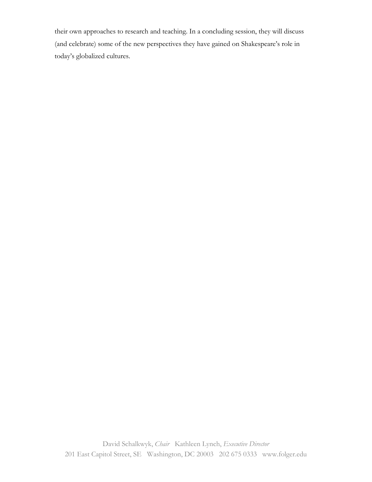their own approaches to research and teaching. In a concluding session, they will discuss (and celebrate) some of the new perspectives they have gained on Shakespeare's role in today's globalized cultures.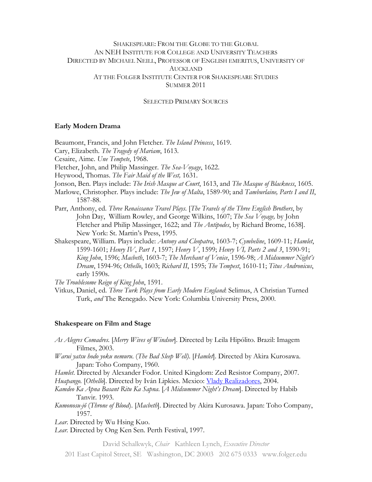## SHAKESPEARE: FROM THE GLOBE TO THE GLOBAL AN NEH INSTITUTE FOR COLLEGE AND UNIVERSITY TEACHERS DIRECTED BY MICHAEL NEILL, PROFESSOR OF ENGLISH EMERITUS, UNIVERSITY OF AUCKLAND AT THE FOLGER INSTITUTE CENTER FOR SHAKESPEARE STUDIES SUMMER 2011

SELECTED PRIMARY SOURCES

### **Early Modern Drama**

Beaumont, Francis, and John Fletcher. *The Island Princess*, 1619.

Cary, Elizabeth. *The Tragedy of Mariam*, 1613.

Cesaire, Aime. *Une Tempete*, 1968.

Fletcher, John, and Philip Massinger. *The Sea-Voyage*, 1622.

Heywood, Thomas. *The Fair Maid of the West,* 1631.

Jonson, Ben. Plays include: *The Irish Masque at Court*, 1613, and *The Masque of Blackness*, 1605.

- Marlowe, Christopher. Plays include: *The Jew of Malta*, 1589-90; and *Tamburlaine, Parts I and II*, 1587-88.
- Parr, Anthony, ed. *Three Renaissance Travel Plays*. [*The Travels of the Three English Brothers*, by John Day, William Rowley, and George Wilkins, 1607; *The Sea Voyage,* by John Fletcher and Philip Massinger, 1622; and *The Antipodes*, by Richard Brome, 1638]. New York: St. Martin's Press, 1995.
- Shakespeare, William. Plays include: *Antony and Cleopatra*, 1603-7; *Cymbeline*, 1609-11; *Hamlet*, 1599-1601; *Henry IV*, *Part 1*, 1597; *Henry V*, 1599; *Henry VI, Parts 2 and 3*, 1590-91; *King John*, 1596; *Macbeth*, 1603-7; *The Merchant of Venice*, 1596-98; *A Midsummer Night's Dream*, 1594-96; *Othello*, 1603; *Richard II*, 1595; *The Tempest*, 1610-11; *Titus Andronicus*, early 1590s.

*The Troublesome Reign of King John*, 1591.

Vitkus, Daniel, ed. *Three Turk Plays from Early Modern England*: Selimus, A Christian Turned Turk, *and* The Renegado. New York: Columbia University Press, 2000.

### **Shakespeare on Film and Stage**

- *As Alegres Comadres.* [*Merry Wives of Windsor*]. Directed by Leila Hipólito. Brazil: Imagem Filmes, 2003.
- *Warui yatsu hodo yoku nemuru*. (*The Bad Sleep Well)*. [*Hamlet*]. Directed by Akira Kurosawa. Japan: Toho Company, 1960.
- *Hamlet*. Directed by Alexander Fodor. United Kingdom: Zed Resistor Company, 2007. *Huapango.* [*Othello*]. Directed by Iván Lipkies. Mexico: [Vlady Realizadores,](http://www.imdb.com/company/co0136356/) 2004.
- *Kamdeo Ka Apna Basant Ritu Ka Sapna*. [*A Midsummer Night's Dream*]. Directed by Habib Tanvir. 1993.
- *Kumonosu-jô* (*Throne of Blood*). [*Macbeth*]. Directed by Akira Kurosawa. Japan: Toho Company, 1957.

*Lear*. Directed by Wu Hsing Kuo.

*Lear.* Directed by Ong Ken Sen. Perth Festival, 1997.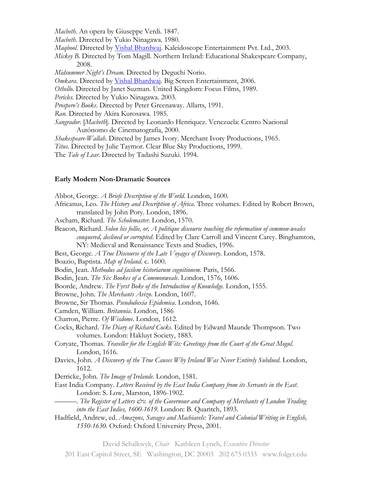*Macbeth.* An opera by Giuseppe Verdi. 1847.

*Macbeth.* Directed by Yukio Ninagawa. 1980.

*Maqbool*. Directed by [Vishal Bhardwaj.](http://www.imdb.com/name/nm0080235/) Kaleidoscope Entertainment Pvt. Ltd., 2003.

*Mickey B.* Directed by Tom Magill. Northern Ireland: Educational Shakespeare Company, 2008.

*Midsummer Night's Dream*. Directed by Deguchi Norio.

*Omkara*. Directed by [Vishal Bhardwaj.](http://www.imdb.com/name/nm0080235/) Big Screen Entertainment, 2006.

*Othello*. Directed by Janet Suzman. United Kingdom: Focus Films, 1989.

*Pericles.* Directed by Yukio Ninagawa. 2003.

*Prospero's Books*. Directed by Peter Greenaway. Allarts, 1991.

*Ran.* Directed by Akira Kurosawa. 1985.

*Sangrador.* [*Macbeth*]. Directed by Leonardo Henriquez. Venezuela: Centro Nacional Autónomo de Cinematografía, 2000.

*Shakespeare-Wallah*. Directed by James Ivory. Merchant Ivory Productions, 1965.

*Titus*. Directed by Julie Taymor. Clear Blue Sky Productions, 1999.

The *Tale of Lear*. Directed by Tadashi Suzuki. 1994.

#### **Early Modern Non-Dramatic Sources**

Abbot, George. *A Briefe Description of the World.* London, 1600. Africanus, Leo. *The History and Description of Africa*. Three volumes. Edited by Robert Brown, translated by John Pory. London, 1896. Ascham, Richard. *The Scholemaster.* London, 1570. Beacon, Richard. *Solon his follie, or, A politique discourse touching the reformation of common-weales conquered, declined or corrupted*. Edited by Clare Carroll and Vincent Carey. Binghamton, NY: Medieval and Renaissance Texts and Studies, 1996. Best, George. *A True Discourse of the Late Voyages of Discovery*. London, 1578. Boazio, Baptista. *Map of Ireland*. c. 1600. Bodin, Jean. *Methodus ad facilem historiarum cognitionem*. Paris, 1566. Bodin, Jean. *The Six Bookes of a Commonweale*. London, 1576, 1606. Boorde, Andrew. *The Fyrst Boke of the Introduction of Knowledge.* London, 1555. Browne, John. *The Merchants Avizo*. London, 1607. Browne, Sir Thomas. *Pseudodoxia Epidemica*. London, 1646. Camden, William. *Britannia*. London, 1586 Charron, Pierre. *Of Wisdome*. London, 1612. Cocks, Richard. *The Diary of Richard Cocks*. Edited by Edward Maunde Thompson. Two volumes. London: Hakluyt Society, 1883. Coryate, Thomas. *Traveller for the English Wits: Greetings from the Court of the Great Mogul*. London, 1616. Davies, John. *A Discovery of the True Causes Why Ireland Was Never Entirely Subdued*. London, 1612. Derricke, John. *The Image of Irelande*. London, 1581. East India Company. *Letters Received by the East India Company from its Servants in the East*. London: S. Low, Marston, 1896-1902. ———. *The Register of Letters &c. of the Governour and Company of Merchants of London Trading into the East Indies, 1600-1619*. London: B. Quaritch, 1893. Hadfield, Andrew, ed. *Amazons, Savages and Machiavels: Travel and Colonial Writing in English, 1550-1630.* Oxford: Oxford University Press, 2001.

David Schalkwyk, *Chair* Kathleen Lynch, *Executive Director*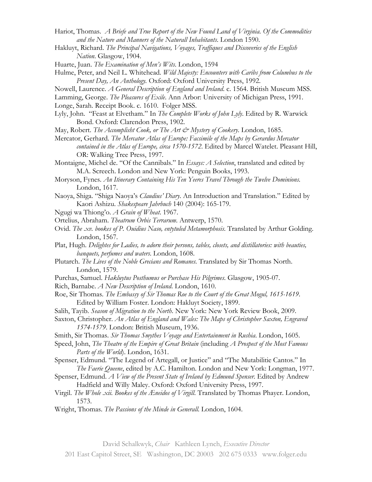- Hariot, Thomas. *A Briefe and True Report of the New Found Land of Virginia. Of the Commodities and the Nature and Manners of the Naturall Inhabitants*. London 1590.
- Hakluyt, Richard. *The Principal Navigations, Voyages, Traffiques and Discoveries of the English Nation*. Glasgow, 1904.
- Huarte, Juan. *The Examination of Men's Wits*. London, 1594
- Hulme, Peter, and Neil L. Whitehead. *Wild Majesty: Encounters with Caribs from Columbus to the Present Day, An Anthology.* Oxford: Oxford University Press, 1992.
- Nowell, Laurence. *A General Description of England and Ireland*. c. 1564. British Museum MSS.

Lamming, George. *The Pleasures of Exile*. Ann Arbor: University of Michigan Press, 1991.

Longe, Sarah. Receipt Book. c. 1610. Folger MSS.

- Lyly, John. "Feast at Elvetham." In *The Complete Works of John Lyly*. Edited by R. Warwick Bond. Oxford: Clarendon Press, 1902.
- May, Robert. *The Accomplisht Cook, or The Art & Mystery of Cookery*. London, 1685.
- Mercator, Gerhard. *The Mercator Atlas of Europe: Facsimile of the Maps by Gerardus Mercator contained in the Atlas of Europe, circa 1570-1572*. Edited by Marcel Watelet. Pleasant Hill, OR: Walking Tree Press, 1997.

Montaigne, Michel de. "Of the Cannibals." In *Essays: A Selection*, translated and edited by M.A. Screech. London and New York: Penguin Books, 1993.

- Moryson, Fynes. *An Itinerary Containing His Ten Yeeres Travel Through the Twelve Dominions.*  London, 1617.
- Naoya, Shiga. "Shiga Naoya's *Claudius' Diary*. An Introduction and Translation." Edited by Kaori Ashizu. *Shakespeare Jahrbuch* 140 (2004): 165-179.
- Ngugi wa Thiong'o. *A Grain of Wheat*. 1967.
- Ortelius, Abraham. *Theatrum Orbis Terrarum*. Antwerp, 1570.
- Ovid. *The .xv. bookes of P. Ouidius Naso, entytuled Metamorphosis*. Translated by Arthur Golding. London, 1567.
- Plat, Hugh. *Delightes for Ladies, to adorn their persons, tables, closets, and distillatories: with beauties, banquets, perfumes and waters*. London, 1608.
- Plutarch. *The Lives of the Noble Grecians and Romanes.* Translated by Sir Thomas North. London, 1579.
- Purchas, Samuel. *Hakluytus Posthumus or Purchase His Pilgrimes*. Glasgow, 1905-07.
- Rich, Barnabe. *A New Description of Ireland*. London, 1610.
- Roe, Sir Thomas. *The Embassy of Sir Thomas Roe to the Court of the Great Mogul, 1615-1619*. Edited by William Foster. London: Hakluyt Society, 1899.
- Salih, Tayib. *Season of Migration to the North*. New York: New York Review Book, 2009.
- Saxton, Christopher. *An Atlas of England and Wales: The Maps of Christopher Saxton, Engraved 1574-1579*. London: British Museum, 1936.
- Smith, Sir Thomas. *Sir Thomas Smythes Voyage and Entertainment in Rushia*. London, 1605.
- Speed, John, *The Theatre of the Empire of Great Britain* (including *A Prospect of the Most Famous Parts of the World*). London, 1631.
- Spenser, Edmund. "The Legend of Artegall, or Justice" and "The Mutabilitie Cantos." In *The Faerie Queene*, edited by A.C. Hamilton. London and New York: Longman, 1977.
- Spenser, Edmund. *A View of the Present State of Ireland by Edmund Spenser*. Edited by Andrew Hadfield and Willy Maley. Oxford: Oxford University Press, 1997.
- Virgil. *The Whole .xii. Bookes of the Æneidos of Virgill*. Translated by Thomas Phayer. London, 1573.
- Wright, Thomas. *The Passions of the Minde in Generall.* London, 1604.

201 East Capitol Street, SE Washington, DC 20003 202 675 0333 www.folger.edu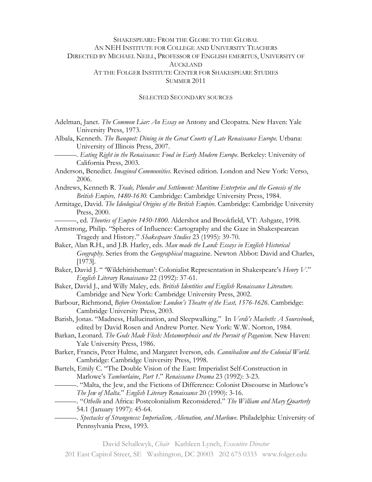## SHAKESPEARE: FROM THE GLOBE TO THE GLOBAL AN NEH INSTITUTE FOR COLLEGE AND UNIVERSITY TEACHERS DIRECTED BY MICHAEL NEILL, PROFESSOR OF ENGLISH EMERITUS, UNIVERSITY OF AUCKLAND AT THE FOLGER INSTITUTE CENTER FOR SHAKESPEARE STUDIES SUMMER 2011

#### SELECTED SECONDARY SOURCES

- Adelman, Janet. *The Common Liar: An Essay on* Antony and Cleopatra. New Haven: Yale University Press, 1973.
- Albala, Kenneth. *The Banquet: Dining in the Great Courts of Late Renaissance Europe.* Urbana: University of Illinois Press, 2007.
	- ———. *Eating Right in the Renaissance: Food in Early Modern Europe*. Berkeley: University of California Press, 2003.
- Anderson, Benedict. *Imagined Communities*. Revised edition. London and New York: Verso, 2006.
- Andrews, Kenneth R. *Trade, Plunder and Settlement: Maritime Enterprise and the Genesis of the British Empire, 1480-1630.* Cambridge: Cambridge University Press, 1984.
- Armitage, David. *The Ideological Origins of the British Empire*. Cambridge: Cambridge University Press, 2000.
- ———, ed. *Theories of Empire 1450-1800*. Aldershot and Brookfield, VT: Ashgate, 1998.
- Armstrong, Philip. "Spheres of Influence: Cartography and the Gaze in Shakespearean Tragedy and History." *Shakespeare Studies* 23 (1995): 39-70.
- Baker, Alan R.H., and J.B. Harley, eds. *Man made the Land: Essays in English Historical Geography*. Series from the *Geographical* magazine. Newton Abbot: David and Charles, [1973].
- Baker, David J. " 'Wildehirisheman': Colonialist Representation in Shakespeare's *Henry V*." *English Literary Renaissance* 22 (1992): 37-61.
- Baker, David J., and Willy Maley, eds. *British Identities and English Renaissance Literature*. Cambridge and New York: Cambridge University Press, 2002.
- Barbour, Richmond, *Before Orientalism: London's Theatre of the East, 1576-1626.* Cambridge: Cambridge University Press, 2003.
- Barish, Jonas. "Madness, Hallucination, and Sleepwalking." In *Verdi's Macbeth: A Sourcebook*, edited by David Rosen and Andrew Porter. New York: W.W. Norton, 1984.
- Barkan, Leonard. *The Gods Made Flesh: Metamorphosis and the Pursuit of Paganism*. New Haven: Yale University Press, 1986.
- Barker, Francis, Peter Hulme, and Margaret Iverson, eds. *Cannibalism and the Colonial World*. Cambridge: Cambridge University Press, 1998.
- Bartels, Emily C. "The Double Vision of the East: Imperialist Self-Construction in Marlowe's *Tamburlaine*, *Part 1*." *Renaissance Drama* 23 (1992): 3-23.
	- ———. "Malta, the Jew, and the Fictions of Difference: Colonist Discourse in Marlowe's *The Jew of Malta*." *English Literary Renaissance* 20 (1990): 3-16.
	- ———. "*Othello* and Africa: Postcolonialism Reconsidered." *The William and Mary Quarterly* 54.1 (January 1997): 45-64.
		- ———. *Spectacles of Strangeness: Imperialism, Alienation, and Marlowe*. Philadelphia: University of Pennsylvania Press, 1993.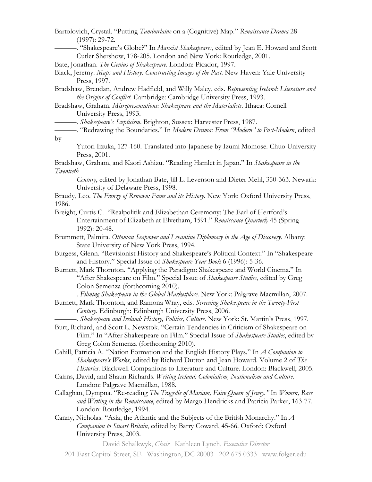Bartolovich, Crystal. "Putting *Tamburlaine* on a (Cognitive) Map." *Renaissance Drama* 28 (1997): 29-72.

———. "Shakespeare's Globe?" In *Marxist Shakespeares*, edited by Jean E. Howard and Scott Cutler Shershow, 178-205. London and New York: Routledge, 2001.

Bate, Jonathan. *The Genius of Shakespeare*. London: Picador, 1997.

- Black, Jeremy. *Maps and History: Constructing Images of the Past*. New Haven: Yale University Press, 1997.
- Bradshaw, Brendan, Andrew Hadfield, and Willy Maley, eds. *Representing Ireland: Literature and the Origins of Conflict*. Cambridge: Cambridge University Press, 1993.
- Bradshaw, Graham. *Misrepresentations: Shakespeare and the Materialists*. Ithaca: Cornell University Press, 1993.

———. *Shakespeare's Scepticism*. Brighton, Sussex: Harvester Press, 1987.

———. "Redrawing the Boundaries." In *Modern Drama: From "Modern" to Post-Modern*, edited by

Yutori Iizuka, 127-160. Translated into Japanese by Izumi Momose. Chuo University Press, 2001.

Bradshaw, Graham, and Kaori Ashizu. "Reading Hamlet in Japan." In *Shakespeare in the Twentieth* 

*Century*, edited by Jonathan Bate, Jill L. Levenson and Dieter Mehl, 350-363. Newark: University of Delaware Press, 1998.

Braudy, Leo. *The Frenzy of Renown: Fame and its History*. New York: Oxford University Press, 1986.

Breight, Curtis C. "Realpolitik and Elizabethan Ceremony: The Earl of Hertford's Entertainment of Elizabeth at Elvetham, 1591." *Renaissance Quarterly* 45 (Spring 1992): 20-48.

Brummett, Palmira. *Ottoman Seapower and Levantine Diplomacy in the Age of Discovery*. Albany: State University of New York Press, 1994.

Burgess, Glenn. "Revisionist History and Shakespeare's Political Context." In "Shakespeare and History." Special Issue of *Shakespeare Year Book* 6 (1996): 5-36.

Burnett, Mark Thornton. "Applying the Paradigm: Shakespeare and World Cinema." In "After Shakespeare on Film." Special Issue of *Shakespeare Studies*, edited by Greg Colon Semenza (forthcoming 2010).

———. *Filming Shakespeare in the Global Marketplace*. New York: Palgrave Macmillan, 2007.

Burnett, Mark Thornton, and Ramona Wray, eds. *Screening Shakespeare in the Twenty-First Century*. Edinburgh: Edinburgh University Press, 2006.

———. *Shakespeare and Ireland: History, Politics, Culture*. New York: St. Martin's Press, 1997.

- Burt, Richard, and Scott L. Newstok. "Certain Tendencies in Criticism of Shakespeare on Film." In "After Shakespeare on Film." Special Issue of *Shakespeare Studies*, edited by Greg Colon Semenza (forthcoming 2010).
- Cahill, Patricia A. "Nation Formation and the English History Plays." In *A Companion to Shakespeare's Works*, edited by Richard Dutton and Jean Howard. Volume 2 of *The Histories*. Blackwell Companions to Literature and Culture. London: Blackwell, 2005.
- Cairns, David, and Shaun Richards. *Writing Ireland: Colonialism, Nationalism and Culture*. London: Palgrave Macmillan, 1988.
- Callaghan, Dympna. "Re-reading *The Tragedie of Mariam, Faire Queen of Jewry."* In *Women, Race and Writing in the Renaissance*, edited by Margo Hendricks and Patricia Parker, 163-77. London: Routledge, 1994.
- Canny, Nicholas. "Asia, the Atlantic and the Subjects of the British Monarchy." In *A Companion to Stuart Britain*, edited by Barry Coward, 45-66. Oxford: Oxford University Press, 2003.

David Schalkwyk, *Chair* Kathleen Lynch, *Executive Director*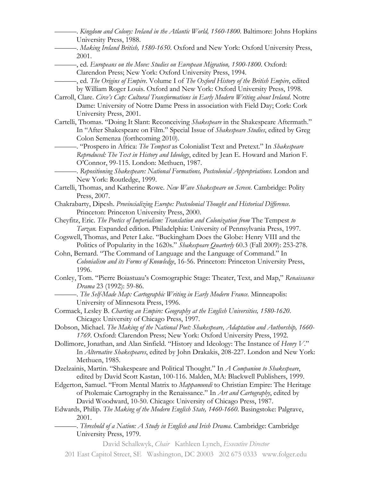| -. Kingdom and Colony: Ireland in the Atlantic World, 1560-1800. Baltimore: Johns Hopkins<br>University Press, 1988.  |
|-----------------------------------------------------------------------------------------------------------------------|
| Making Ireland British, 1580-1650. Oxford and New York: Oxford University Press,                                      |
| 2001.                                                                                                                 |
| -, ed. Europeans on the Move: Studies on European Migration, 1500-1800. Oxford:                                       |
| Clarendon Press; New York: Oxford University Press, 1994.                                                             |
| , ed. The Origins of Empire. Volume I of The Oxford History of the British Empire, edited                             |
| by William Roger Louis. Oxford and New York: Oxford University Press, 1998.                                           |
| Carroll, Clare. Circe's Cup: Cultural Transformations in Early Modern Writing about Ireland. Notre                    |
| Dame: University of Notre Dame Press in association with Field Day; Cork: Cork                                        |
| University Press, 2001.                                                                                               |
| Cartelli, Thomas. "Doing It Slant: Reconceiving Shakespeare in the Shakespeare Aftermath."                            |
| In "After Shakespeare on Film." Special Issue of Shakespeare Studies, edited by Greg                                  |
| Colon Semenza (forthcoming 2010).                                                                                     |
| -. "Prospero in Africa: The Tempest as Colonialist Text and Pretext." In Shakespeare                                  |
| Reproduced: The Text in History and Ideology, edited by Jean E. Howard and Marion F.                                  |
| O'Connor, 99-115. London: Methuen, 1987.                                                                              |
| Repositioning Shakespeare: National Formations, Postcolonial Appropriations. London and                               |
| New York: Routledge, 1999.<br>Cartelli, Thomas, and Katherine Rowe. New Wave Shakespeare on Screen. Cambridge: Polity |
| Press, 2007.                                                                                                          |
| Chakrabarty, Dipesh. Provincializing Europe: Postcolonial Thought and Historical Difference.                          |
| Princeton: Princeton University Press, 2000.                                                                          |
| Cheyfitz, Eric. The Poetics of Imperialism: Translation and Colonization from The Tempest to                          |
| Tarzan. Expanded edition. Philadelphia: University of Pennsylvania Press, 1997.                                       |
| Cogswell, Thomas, and Peter Lake. "Buckingham Does the Globe: Henry VIII and the                                      |
| Politics of Popularity in the 1620s." Shakespeare Quarterly 60.3 (Fall 2009): 253-278.                                |
| Cohn, Bernard. "The Command of Language and the Language of Command." In                                              |
| Colonialism and its Forms of Knowledge, 16-56. Princeton: Princeton University Press,                                 |
| 1996.                                                                                                                 |
| Conley, Tom. "Pierre Boiastuau's Cosmographic Stage: Theater, Text, and Map," Renaissance                             |
| Drama 23 (1992): 59-86.                                                                                               |
| -. The Self-Made Map: Cartographic Writing in Early Modern France. Minneapolis:                                       |
| University of Minnesota Press, 1996.                                                                                  |
| Cormack, Lesley B. Charting an Empire: Geography at the English Universities, 1580-1620.                              |
| Chicago: University of Chicago Press, 1997.                                                                           |
| Dobson, Michael. The Making of the National Poet: Shakespeare, Adaptation and Authorship, 1660-                       |
| 1769. Oxford: Clarendon Press; New York: Oxford University Press, 1992.                                               |
| Dollimore, Jonathan, and Alan Sinfield. "History and Ideology: The Instance of Henry V."                              |
| In Alternative Shakespeares, edited by John Drakakis, 208-227. London and New York:                                   |
| Methuen, 1985.                                                                                                        |
| Dzelzainis, Martin. "Shakespeare and Political Thought." In A Companion to Shakespeare,                               |
| edited by David Scott Kastan, 100-116. Malden, MA: Blackwell Publishers, 1999.                                        |
| Edgerton, Samuel. "From Mental Matrix to Mappamundi to Christian Empire: The Heritage                                 |
| of Ptolemaic Cartography in the Renaissance." In Art and Cartography, edited by                                       |
| David Woodward, 10-50. Chicago: University of Chicago Press, 1987.                                                    |
| Edwards, Philip. The Making of the Modern English State, 1460-1660. Basingstoke: Palgrave,                            |
| 2001.                                                                                                                 |
| -. Threshold of a Nation: A Study in English and Irish Drama. Cambridge: Cambridge                                    |
| University Press, 1979.                                                                                               |
| David Schalkwyk, Chair Kathleen Lynch, Executive Director                                                             |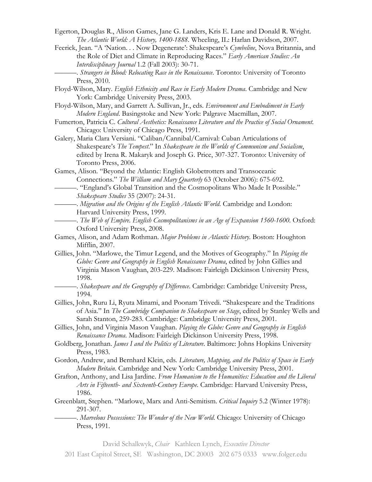- Egerton, Douglas R., Alison Games, Jane G. Landers, Kris E. Lane and Donald R. Wright. *The Atlantic World: A History, 1400-1888*. Wheeling, IL: Harlan Davidson, 2007.
- Feerick, Jean. "A 'Nation. . . Now Degenerate': Shakespeare's *Cymbeline*, Nova Britannia, and the Role of Diet and Climate in Reproducing Races." *Early American Studies: An Interdisciplinary Journal* 1.2 (Fall 2003): 30-71.
	- ———. *Strangers in Blood: Relocating Race in the Renaissance*. Toronto: University of Toronto Press, 2010.
- Floyd-Wilson, Mary. *English Ethnicity and Race in Early Modern Drama*. Cambridge and New York: Cambridge University Press, 2003.
- Floyd-Wilson, Mary, and Garrett A. Sullivan, Jr., eds. *Environment and Embodiment in Early Modern England*. Basingstoke and New York: Palgrave Macmillan, 2007.
- Fumerton, Patricia C. *Cultural Aesthetics: Renaissance Literature and the Practice of Social Ornament*. Chicago: University of Chicago Press, 1991.
- Galery, Maria Clara Versiani. "Caliban/Cannibal/Carnival: Cuban Articulations of Shakespeare's *The Tempest*." In *Shakespeare in the Worlds of Communism and Socialism*, edited by Irena R. Makaryk and Joseph G. Price, 307-327. Toronto: University of Toronto Press, 2006.
- Games, Alison. "Beyond the Atlantic: English Globetrotters and Transoceanic Connections." *The William and Mary Quarterly* 63 (October 2006): 675-692.
	- ———. "England's Global Transition and the Cosmopolitans Who Made It Possible." *Shakespeare Studies* 35 (2007): 24-31.
	- ———. *Migration and the Origins of the English Atlantic World*. Cambridge and London: Harvard University Press, 1999.
- ———. *The Web of Empire. English Cosmopolitanisms in an Age of Expansion 1560-1600.* Oxford: Oxford University Press, 2008.
- Games, Alison, and Adam Rothman. *Major Problems in Atlantic History*. Boston: Houghton Mifflin, 2007.
- Gillies, John. "Marlowe, the Timur Legend, and the Motives of Geography." In *Playing the Globe: Genre and Geography in English Renaissance Drama*, edited by John Gillies and Virginia Mason Vaughan, 203-229. Madison: Fairleigh Dickinson University Press, 1998.
	- ———. *Shakespeare and the Geography of Difference*. Cambridge: Cambridge University Press, 1994.
- Gillies, John, Ruru Li, Ryuta Minami, and Poonam Trivedi. "Shakespeare and the Traditions of Asia." In *The Cambridge Companion to Shakespeare on Stage*, edited by Stanley Wells and Sarah Stanton, 259-283. Cambridge: Cambridge University Press, 2001.
- Gillies, John, and Virginia Mason Vaughan. *Playing the Globe: Genre and Geography in English Renaissance Drama*. Madison: Fairleigh Dickinson University Press, 1998.
- Goldberg, Jonathan. *James I and the Politics of Literature*. Baltimore: Johns Hopkins University Press, 1983.
- Gordon, Andrew, and Bernhard Klein, eds*. Literature, Mapping, and the Politics of Space in Early Modern Britain*. Cambridge and New York: Cambridge University Press, 2001.
- Grafton, Anthony, and Lisa Jardine. *From Humanism to the Humanities: Education and the Liberal Arts in Fifteenth- and Sixteenth-Century Europe*. Cambridge: Harvard University Press, 1986.
- Greenblatt, Stephen. "Marlowe, Marx and Anti-Semitism. *Critical Inquiry* 5.2 (Winter 1978): 291-307.
	- ———. *Marvelous Possessions: The Wonder of the New World*. Chicago: University of Chicago Press, 1991.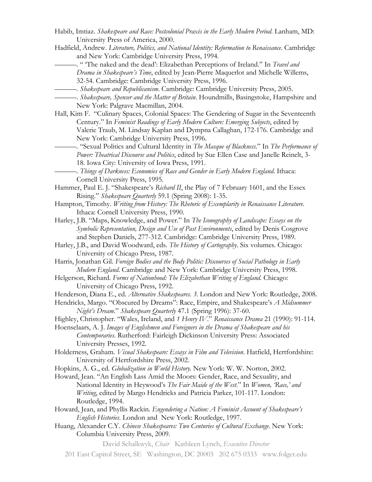- Habib, Imtiaz. *Shakespeare and Race: Postcolonial Praxis in the Early Modern Period*. Lanham, MD: University Press of America, 2000.
- Hadfield, Andrew. *Literature, Politics, and National Identity: Reformation to Renaissance*. Cambridge and New York: Cambridge University Press, 1994.
	- ———. " 'The naked and the dead': Elizabethan Perceptions of Ireland." In *Travel and Drama in Shakespeare's Time*, edited by Jean-Pierre Maquerlot and Michelle Willems, 32-54. Cambridge: Cambridge University Press, 1996.
		- ———. *Shakespeare and Republicanism*. Cambridge: Cambridge University Press, 2005.
	- ———. *Shakespeare, Spenser and the Matter of Britain*. Houndmills, Basingstoke, Hampshire and New York: Palgrave Macmillan, 2004.
- Hall, Kim F. "Culinary Spaces, Colonial Spaces: The Gendering of Sugar in the Seventeenth Century." In *Feminist Readings of Early Modern Culture: Emerging Subjects*, edited by Valerie Traub, M. Lindsay Kaplan and Dympna Callaghan, 172-176. Cambridge and New York: Cambridge University Press, 1996.
	- ———. "Sexual Politics and Cultural Identity in *The Masque of Blackness*." In *The Performance of Power: Theatrical Discourse and Politics*, edited by Sue Ellen Case and Janelle Reinelt, 3- 18. Iowa City: University of Iowa Press, 1991.
	- ———. *Things of Darkness: Economies of Race and Gender in Early Modern England*. Ithaca: Cornell University Press, 1995.
- Hammer, Paul E. J. "Shakespeare's *Richard II*, the Play of 7 February 1601, and the Essex Rising." *Shakespeare Quarterly* 59.1 (Spring 2008): 1-35.
- Hampton, Timothy. *Writing from History: The Rhetoric of Exemplarity in Renaissance Literature*. Ithaca: Cornell University Press, 1990.
- Harley, J.B. "Maps, Knowledge, and Power." In *The Iconography of Landscape: Essays on the Symbolic Representation, Design and Use of Past Environments*, edited by Denis Cosgrove and Stephen Daniels, 277-312. Cambridge: Cambridge University Press, 1989.
- Harley, J.B., and David Woodward, eds. *The History of Cartography*. Six volumes. Chicago: University of Chicago Press, 1987.
- Harris, Jonathan Gil. *Foreign Bodies and the Body Politic: Discourses of Social Pathology in Early Modern England*. Cambridge and New York: Cambridge University Press, 1998.
- Helgerson, Richard. *Forms of Nationhood: The Elizabethan Writing of England*. Chicago: University of Chicago Press, 1992.
- Henderson, Diana E., ed. *Alternative Shakespeares. 3*. London and New York: Routledge, 2008.
- Hendricks, Margo. "Obscured by Dreams": Race, Empire, and Shakespeare's *A Midsummer Night's Dream*." *Shakespeare Quarterly* 47.1 (Spring 1996): 37-60.
- Highley, Christopher. "Wales, Ireland, and *1 Henry IV*." *Renaissance Drama* 21 (1990): 91-114.
- Hoenselaars, A. J. *Images of Englishmen and Foreigners in the Drama of Shakespeare and his Contemporaries*. Rutherford: Fairleigh Dickinson University Press: Associated University Presses, 1992.
- Holderness, Graham. *Visual Shakespeare: Essays in Film and Television*. Hatfield, Hertfordshire: University of Hertfordshire Press, 2002.
- Hopkins, A. G., ed. *Globalization in World History.* New York: W. W. Norton, 2002.

Howard, Jean. "An English Lass Amid the Moors: Gender, Race, and Sexuality, and National Identity in Heywood's *The Fair Maide of the West*." In *Women, 'Race,' and Writing*, edited by Margo Hendricks and Patricia Parker, 101-117. London: Routledge, 1994.

- Howard, Jean, and Phyllis Rackin. *Engendering a Nation: A Feminist Account of Shakespeare's English Histories*. London and New York: Routledge, 1997.
- Huang, Alexander C.Y. *Chinese Shakespeares: Two Centuries of Cultural Exchange*. New York: Columbia University Press, 2009.

David Schalkwyk, *Chair* Kathleen Lynch, *Executive Director*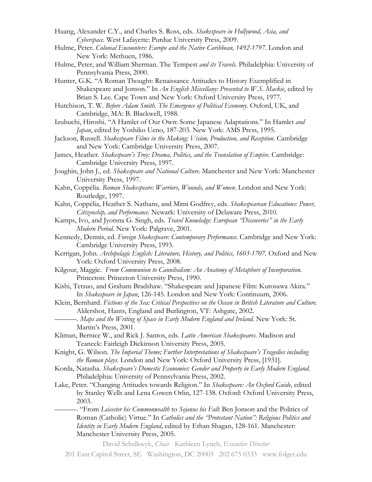- Huang, Alexander C.Y., and Charles S. Ross, eds. *Shakespeare in Hollywood, Asia, and Cyberspace*. West Lafayette: Purdue University Press, 2009.
- Hulme, Peter. *Colonial Encounters: Europe and the Native Caribbean, 1492-1797*. London and New York: Methuen, 1986.
- Hulme, Peter, and William Sherman. The Tempest *and its Travels*. Philadelphia: University of Pennsylvania Press, 2000.
- Hunter, G.K. "A Roman Thought: Renaissance Attitudes to History Exemplified in Shakespeare and Jonson." In *An English Miscellany: Presented to W.S. Mackie*, edited by Brian S. Lee. Cape Town and New York: Oxford University Press, 1977.
- Hutchison, T. W. *Before Adam Smith. The Emergence of Political Economy*. Oxford, UK, and Cambridge, MA: B. Blackwell, 1988.
- Izubuchi, Hiroshi. "A Hamlet of Our Own: Some Japanese Adaptations." In Hamlet *and Japan*, edited by Yoshiko Ueno, 187-203. New York: AMS Press, 1995.
- Jackson, Russell. *Shakespeare Films in the Making: Vision, Production, and Reception*. Cambridge and New York: Cambridge University Press, 2007.
- James, Heather. *Shakespeare's Troy: Drama, Politics, and the Translation of Empire*. Cambridge: Cambridge University Press, 1997.
- Joughin, John J., ed. *Shakespeare and National Culture*. Manchester and New York: Manchester University Press, 1997.
- Kahn, Coppélia. *Roman Shakespeare: Warriors, Wounds, and Women*. London and New York: Routledge, 1997.
- Kahn, Coppélia, Heather S. Nathans, and Mimi Godfrey, eds. *Shakespearean Educations: Power, Citizenship, and Performance*. Newark: University of Delaware Press, 2010.
- Kamps, Ivo, and Jyotsna G. Singh, eds. *Travel Knowledge: European "Discoveries" in the Early Modern Period*. New York: Palgrave, 2001.
- Kennedy, Dennis, ed. *Foreign Shakespeare: Contemporary Performance*. Cambridge and New York: Cambridge University Press, 1993.
- Kerrigan, John. *Archipelagic English: Literature, History, and Politics, 1603-1707*. Oxford and New York: Oxford University Press, 2008.
- Kilgour, Maggie. *From Communion to Cannibalism: An Anatomy of Metaphors of Incorporation*. Princeton: Princeton University Press, 1990.
- Kishi, Tetsuo, and Graham Bradshaw. "Shakespeare and Japanese Film: Kurosawa Akira." In *Shakespeare in Japan*, 126-145. London and New York: Continuum, 2006.
- Klein, Bernhard. *Fictions of the Sea: Critical Perspectives on the Ocean in British Literature and Culture*. Aldershot, Hants, England and Burlington, VT: Ashgate, 2002.
	- ———. *Maps and the Writing of Space in Early Modern England and Ireland*. New York: St. Martin's Press, 2001.
- Kliman, Bernice W., and Rick J. Santos, eds. *Latin American Shakespeares*. Madison and Teaneck: Fairleigh Dickinson University Press, 2005.
- Knight, G. Wilson. *The Imperial Theme; Further Interpretations of Shakespeare's Tragedies including the Roman plays*. London and New York: Oxford University Press, [1931].
- Korda, Natasha. *Shakespeare's Domestic Economies: Gender and Property in Early Modern England*. Philadelphia: University of Pennsylvania Press, 2002.
- Lake, Peter. "Changing Attitudes towards Religion." In *Shakespeare: An Oxford Guide*, edited by Stanley Wells and Lena Cowen Orlin, 127-138. Oxford: Oxford University Press, 2003.
	- ———. "From *Leicester his Commonwealth* to *Sejanus his Fall*: Ben Jonson and the Politics of Roman (Catholic) Virtue." In *Catholics and the "Protestant Nation": Religious Politics and Identity in Early Modern England*, edited by Ethan Shagan, 128-161. Manchester: Manchester University Press, 2005.

David Schalkwyk, *Chair* Kathleen Lynch, *Executive Director*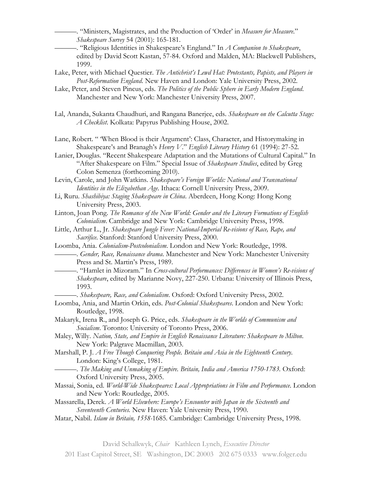———. "Ministers, Magistrates, and the Production of 'Order' in *Measure for Measure*." *Shakespeare Survey* 54 (2001): 165-181.

———. "Religious Identities in Shakespeare's England." In *A Companion to Shakespeare*, edited by David Scott Kastan, 57-84. Oxford and Malden, MA: Blackwell Publishers, 1999.

- Lake, Peter, with Michael Questier. *The Antichrist's Lewd Hat: Protestants, Papists, and Players in Post-Reformation England*. New Haven and London: Yale University Press, 2002.
- Lake, Peter, and Steven Pincus, eds. *The Politics of the Public Sphere in Early Modern England*. Manchester and New York: Manchester University Press, 2007.
- Lal, Ananda, Sukanta Chaudhuri, and Rangana Banerjee, eds. *Shakespeare on the Calcutta Stage: A Checklist*. Kolkata: Papyrus Publishing House, 2002.

Lane, Robert. " 'When Blood is their Argument': Class, Character, and Historymaking in Shakespeare's and Branagh's *Henry V*." *English Literary History* 61 (1994): 27-52.

Lanier, Douglas. "Recent Shakespeare Adaptation and the Mutations of Cultural Capital." In "After Shakespeare on Film." Special Issue of *Shakespeare Studies*, edited by Greg Colon Semenza (forthcoming 2010).

Levin, Carole, and John Watkins. *Shakespeare's Foreign Worlds: National and Transnational Identities in the Elizabethan Age*. Ithaca: Cornell University Press, 2009.

- Li, Ruru. *Shashibiya: Staging Shakespeare in China*. Aberdeen, Hong Kong: Hong Kong University Press, 2003.
- Linton, Joan Pong. *The Romance of the New World: Gender and the Literary Formations of English Colonialism*. Cambridge and New York: Cambridge University Press, 1998.
- Little, Arthur L., Jr. *Shakespeare Jungle Fever: National-Imperial Re-visions of Race, Rape, and Sacrifice*. Stanford: Stanford University Press, 2000.

Loomba, Ania. *Colonialism-Postcolonialism*. London and New York: Routledge, 1998.

- ———. *Gender, Race, Renaissance drama*. Manchester and New York: Manchester University Press and St. Martin's Press, 1989.
- ———. "Hamlet in Mizoram." In *Cross-cultural Performances: Differences in Women's Re-visions of Shakespeare*, edited by Marianne Novy, 227-250. Urbana: University of Illinois Press, 1993.

———. *Shakespeare, Race, and Colonialism*. Oxford: Oxford University Press, 2002.

- Loomba, Ania, and Martin Orkin, eds. *Post-Colonial Shakespeares*. London and New York: Routledge, 1998.
- Makaryk, Irena R., and Joseph G. Price, eds. *Shakespeare in the Worlds of Communism and Socialism*. Toronto: University of Toronto Press, 2006.
- Maley, Willy. *Nation, State, and Empire in English Renaissance Literature: Shakespeare to Milton*. New York: Palgrave Macmillan, 2003.
- Marshall, P. J. *A Free Though Conquering People. Britain and Asia in the Eighteenth Century*. London: King's College, 1981.
	- ———. *The Making and Unmaking of Empire. Britain, India and America 1750-1783.* Oxford: Oxford University Press, 2005.
- Massai, Sonia, ed. *World-Wide Shakespeares: Local Appropriations in Film and Performance*. London and New York: Routledge, 2005.
- Massarella, Derek. *A World Elsewhere: Europe's Encounter with Japan in the Sixteenth and Seventeenth Centuries.* New Haven: Yale University Press, 1990.
- Matar, Nabil. *Islam in Britain, 1558-*1685. Cambridge: Cambridge University Press, 1998.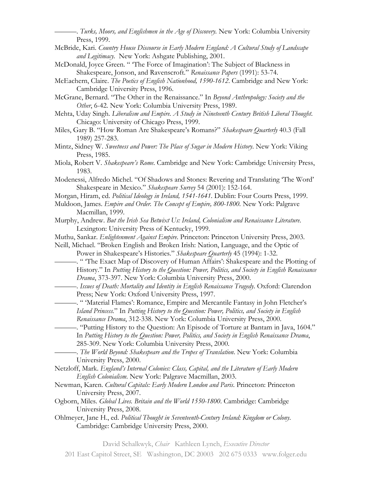———. *Turks, Moors, and Englishmen in the Age of Discovery.* New York: Columbia University Press, 1999.

- McBride, Kari. *Country House Discourse in Early Modern England: A Cultural Study of Landscape and Legitimacy.* New York: Ashgate Publishing, 2001.
- McDonald, Joyce Green. " 'The Force of Imagination': The Subject of Blackness in Shakespeare, Jonson, and Ravenscroft." *Renaissance Papers* (1991): 53-74.
- McEachern, Claire. *The Poetics of English Nationhood, 1590-1612*. Cambridge and New York: Cambridge University Press, 1996.
- McGrane, Bernard. "The Other in the Renaissance." In *Beyond Anthropology: Society and the Other*, 6-42. New York: Columbia University Press, 1989.
- Mehta, Uday Singh. *Liberalism and Empire. A Study in Nineteenth Century British Liberal Thought*. Chicago: University of Chicago Press, 1999.
- Miles, Gary B. "How Roman Are Shakespeare's Romans?" *Shakespeare Quarterly* 40.3 (Fall 1989) 257-283.
- Mintz, Sidney W. *Sweetness and Power: The Place of Sugar in Modern History*. New York: Viking Press, 1985.
- Miola, Robert V. *Shakespeare's Rome*. Cambridge and New York: Cambridge University Press, 1983.
- Modenessi, Alfredo Michel. "Of Shadows and Stones: Revering and Translating 'The Word' Shakespeare in Mexico." *Shakespeare Survey* 54 (2001): 152-164.
- Morgan, Hiram, ed. *Political Ideology in Ireland, 1541-1641*. Dublin: Four Courts Press, 1999.
- Muldoon, James. *Empire and Order. The Concept of Empire, 800-1800.* New York: Palgrave Macmillan, 1999.
- Murphy, Andrew. *But the Irish Sea Betwixt Us: Ireland, Colonialism and Renaissance Literature*. Lexington: University Press of Kentucky, 1999.
- Muthu, Sankar. *Enlightenment Against Empire*. Princeton: Princeton University Press, 2003.
- Neill, Michael. "Broken English and Broken Irish: Nation, Language, and the Optic of Power in Shakespeare's Histories." *Shakespeare Quarterly* 45 (1994): 1-32.
	- ———. " 'The Exact Map of Discovery of Human Affairs': Shakespeare and the Plotting of History." In *Putting History to the Question: Power, Politics, and Society in English Renaissance Drama*, 373-397. New York: Columbia University Press, 2000.
	- ———. *Issues of Death: Mortality and Identity in English Renaissance Tragedy*. Oxford: Clarendon Press; New York: Oxford University Press, 1997.
	- ———. " 'Material Flames': Romance, Empire and Mercantile Fantasy in John Fletcher's *Island Princess.*" In *Putting History to the Question: Power, Politics, and Society in English Renaissance Drama*, 312-338. New York: Columbia University Press, 2000.
		- ———. "Putting History to the Question: An Episode of Torture at Bantam in Java, 1604." In *Putting History to the Question: Power, Politics, and Society in English Renaissance Drama*, 285-309. New York: Columbia University Press, 2000.
		- ———. *The World Beyond: Shakespeare and the Tropes of Translation*. New York: Columbia University Press, 2000.
- Netzloff, Mark. *England's Internal Colonies: Class, Capital, and the Literature of Early Modern English Colonialism*. New York: Palgrave Macmillan, 2003.
- Newman, Karen. *Cultural Capitals: Early Modern London and Paris*. Princeton: Princeton University Press, 2007.
- Ogborn, Miles. *Global Lives. Britain and the World 1550-1800*. Cambridge: Cambridge University Press, 2008.
- Ohlmeyer, Jane H., ed. *Political Thought in Seventeenth-Century Ireland: Kingdom or Colony*. Cambridge: Cambridge University Press, 2000.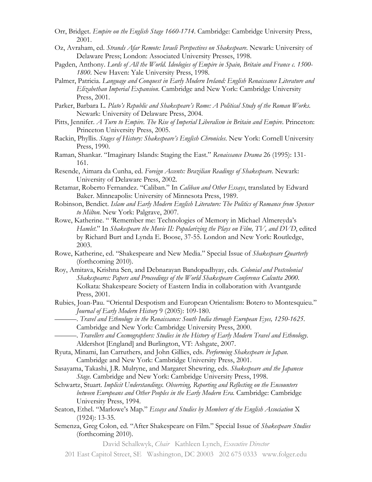- Orr, Bridget. *Empire on the English Stage 1660-1714*. Cambridge: Cambridge University Press, 2001.
- Oz, Avraham, ed. *Strands Afar Remote: Israeli Perspectives on Shakespeare*. Newark: University of Delaware Press; London: Associated University Presses, 1998.
- Pagden, Anthony. *Lords of All the World. Ideologies of Empire in Spain, Britain and France c. 1500- 1800*. New Haven: Yale University Press, 1998.
- Palmer, Patricia. *Language and Conquest in Early Modern Ireland: English Renaissance Literature and Elizabethan Imperial Expansion*. Cambridge and New York: Cambridge University Press, 2001.
- Parker, Barbara L. *Plato's Republic and Shakespeare's Rome: A Political Study of the Roman Works*. Newark: University of Delaware Press, 2004.
- Pitts, Jennifer. *A Turn to Empire. The Rise of Imperial Liberalism in Britain and Empire*. Princeton: Princeton University Press, 2005.
- Rackin, Phyllis. *Stages of History: Shakespeare's English Chronicles*. New York: Cornell University Press, 1990.
- Raman, Shankar. "Imaginary Islands: Staging the East." *Renaissance Drama* 26 (1995): 131- 161.
- Resende, Aimara da Cunha, ed. *Foreign Accents: Brazilian Readings of Shakespeare.* Newark: University of Delaware Press, 2002.
- Retamar, Roberto Fernandez. "Caliban." In *Caliban and Other Essays*, translated by Edward Baker. Minneapolis: University of Minnesota Press, 1989.
- Robinson, Bendict. *Islam and Early Modern English Literature: The Politics of Romance from Spenser to Milton.* New York: Palgrave, 2007.
- Rowe, Katherine. " 'Remember me: Technologies of Memory in Michael Almereyda's *Hamlet*." In *Shakespeare the Movie II: Popularizing the Plays on Film, TV, and DVD*, edited by Richard Burt and Lynda E. Boose, 37-55. London and New York: Routledge, 2003.
- Rowe, Katherine, ed. "Shakespeare and New Media." Special Issue of *Shakespeare Quarterly* (forthcoming 2010).
- Roy, Amitava, Krishna Sen, and Debnarayan Bandopadhyay, eds. *Colonial and Postcolonial Shakespeares: Papers and Proceedings of the World Shakespeare Conference Calcutta 2000*. Kolkata: Shakespeare Society of Eastern India in collaboration with Avantgarde Press, 2001.
- Rubies, Joan-Pau. "Oriental Despotism and European Orientalism: Botero to Montesquieu." *Journal of Early Modern History* 9 (2005): 109-180.
	- ———. *Travel and Ethnology in the Renaissance: South India through European Eyes, 1250-1625*. Cambridge and New York: Cambridge University Press, 2000.
- ———. *Travellers and Cosmographers: Studies in the History of Early Modern Travel and Ethnology*. Aldershot [England] and Burlington, VT: Ashgate, 2007.
- Ryuta, Minami, Ian Carruthers, and John Gillies, eds. *Performing Shakespeare in Japan*. Cambridge and New York: Cambridge University Press, 2001.
- Sasayama, Takashi, J.R. Mulryne, and Margaret Shewring, eds. *Shakespeare and the Japanese Stage*. Cambridge and New York: Cambridge University Press, 1998.
- Schwartz, Stuart. *Implicit Understandings. Observing, Reporting and Reflecting on the Encounters between Europeans and Other Peoples in the Early Modern Era.* Cambridge: Cambridge University Press, 1994.
- Seaton, Ethel. "Marlowe's Map." *Essays and Studies by Members of the English Association* X (1924): 13-35.
- Semenza, Greg Colon, ed. "After Shakespeare on Film." Special Issue of *Shakespeare Studies* (forthcoming 2010).

<sup>201</sup> East Capitol Street, SE Washington, DC 20003 202 675 0333 www.folger.edu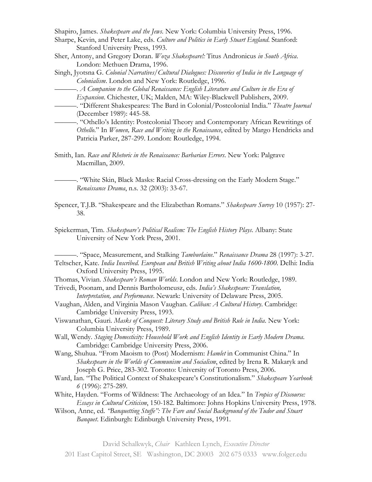Shapiro, James. *Shakespeare and the Jews*. New York: Columbia University Press, 1996.

- Sharpe, Kevin, and Peter Lake, eds. *Culture and Politics in Early Stuart England*. Stanford: Stanford University Press, 1993.
- Sher, Antony, and Gregory Doran. *Woza Shakespeare!:* Titus Andronicus *in South Africa*. London: Methuen Drama, 1996.
- Singh, Jyotsna G. *Colonial Narratives/Cultural Dialogues: Discoveries of India in the Language of Colonialism*. London and New York: Routledge, 1996.
	- ———. *A Companion to the Global Renaissance: English Literature and Culture in the Era of*
	- *Expansion*. Chichester, UK; Malden, MA: Wiley-Blackwell Publishers, 2009.
	- ———. "Different Shakespeares: The Bard in Colonial/Postcolonial India." *Theatre Journal* (December 1989): 445-58.
- ———. "Othello's Identity: Postcolonial Theory and Contemporary African Rewritings of *Othello*." In *Women, Race and Writing in the Renaissance*, edited by Margo Hendricks and Patricia Parker, 287-299. London: Routledge, 1994.
- Smith, Ian. *Race and Rhetoric in the Renaissance: Barbarian Errors*. New York: Palgrave Macmillan, 2009.
	- ———. "White Skin, Black Masks: Racial Cross-dressing on the Early Modern Stage." *Renaissance Drama*, n.s. 32 (2003): 33-67.
- Spencer, T.J.B. "Shakespeare and the Elizabethan Romans." *Shakespeare Survey* 10 (1957): 27- 38.
- Spiekerman, Tim. *Shakespeare's Political Realism: The English History Plays*. Albany: State University of New York Press, 2001.

———. "Space, Measurement, and Stalking *Tamburlaine*." *Renaissance Drama* 28 (1997): 3-27. Teltscher, Kate. *India Inscribed. European and British Writing about India 1600-1800*. Delhi: India Oxford University Press, 1995.

Thomas, Vivian. *Shakespeare's Roman Worlds*. London and New York: Routledge, 1989.

Trivedi, Poonam, and Dennis Bartholomeusz, eds. *India's Shakespeare: Translation, Interpretation, and Performance*. Newark: University of Delaware Press, 2005.

- Vaughan, Alden, and Virginia Mason Vaughan. *Caliban: A Cultural History*. Cambridge: Cambridge University Press, 1993.
- Viswanathan, Gauri. *Masks of Conquest: Literary Study and British Rule in India*. New York: Columbia University Press, 1989.
- Wall, Wendy. *Staging Domesticity: Household Work and English Identity in Early Modern Drama*. Cambridge: Cambridge University Press, 2006.
- Wang, Shuhua. "From Maoism to (Post) Modernism: *Hamlet* in Communist China." In *Shakespeare in the Worlds of Communism and Socialism*, edited by Irena R. Makaryk and Joseph G. Price, 283-302. Toronto: University of Toronto Press, 2006.
- Ward, Ian. "The Political Context of Shakespeare's Constitutionalism." *Shakespeare Yearbook 6* (1996): 275-289.
- White, Hayden. "Forms of Wildness: The Archaeology of an Idea." In *Tropics of Discourse: Essays in Cultural Criticism*, 150-182*.* Baltimore: Johns Hopkins University Press, 1978.
- Wilson, Anne, ed. *"Banquetting Stuffe": The Fare and Social Background of the Tudor and Stuart Banquet*. Edinburgh: Edinburgh University Press, 1991.